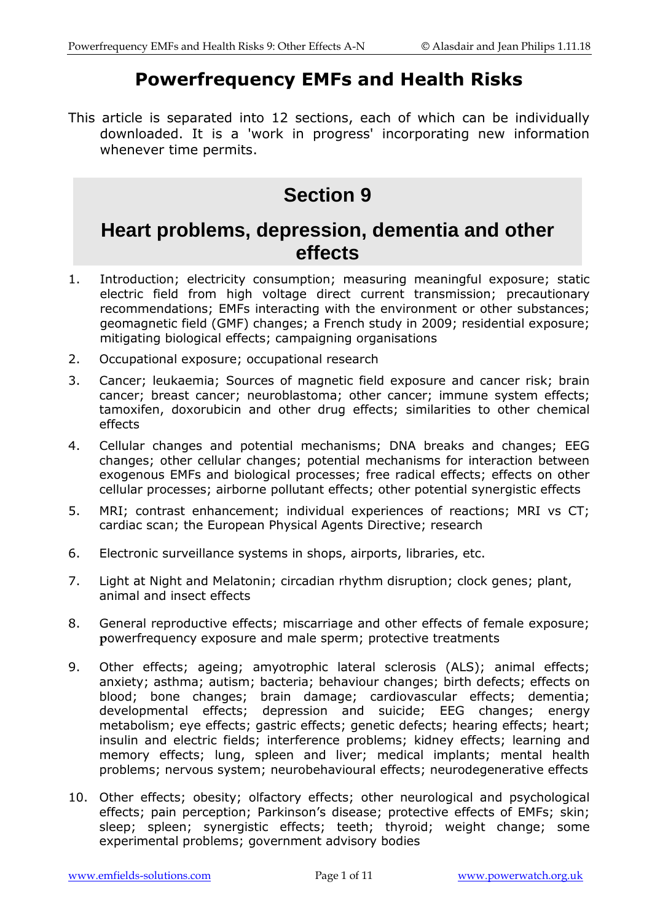# **Powerfrequency EMFs and Health Risks**

This article is separated into 12 sections, each of which can be individually downloaded. It is a 'work in progress' incorporating new information whenever time permits.

# **Section 9**

# **Heart problems, depression, dementia and other effects**

- 1. Introduction; electricity consumption; measuring meaningful exposure; static electric field from high voltage direct current transmission; precautionary recommendations; EMFs interacting with the environment or other substances; geomagnetic field (GMF) changes; a French study in 2009; residential exposure; mitigating biological effects; campaigning organisations
- 2. Occupational exposure; occupational research
- 3. Cancer; leukaemia; Sources of magnetic field exposure and cancer risk; brain cancer; breast cancer; neuroblastoma; other cancer; immune system effects; tamoxifen, doxorubicin and other drug effects; similarities to other chemical effects
- 4. Cellular changes and potential mechanisms; DNA breaks and changes; EEG changes; other cellular changes; potential mechanisms for interaction between exogenous EMFs and biological processes; free radical effects; effects on other cellular processes; airborne pollutant effects; other potential synergistic effects
- 5. MRI; contrast enhancement; individual experiences of reactions; MRI vs CT; cardiac scan; the European Physical Agents Directive; research
- 6. Electronic surveillance systems in shops, airports, libraries, etc.
- 7. Light at Night and Melatonin; circadian rhythm disruption; clock genes; plant, animal and insect effects
- 8. General reproductive effects; miscarriage and other effects of female exposure; **p**owerfrequency exposure and male sperm; protective treatments
- 9. Other effects; ageing; amyotrophic lateral sclerosis (ALS); animal effects; anxiety; asthma; autism; bacteria; behaviour changes; birth defects; effects on blood; bone changes; brain damage; cardiovascular effects; dementia; developmental effects; depression and suicide; EEG changes; energy metabolism; eye effects; gastric effects; genetic defects; hearing effects; heart; insulin and electric fields; interference problems; kidney effects; learning and memory effects; lung, spleen and liver; medical implants; mental health problems; nervous system; neurobehavioural effects; neurodegenerative effects
- 10. Other effects; obesity; olfactory effects; other neurological and psychological effects; pain perception; Parkinson's disease; protective effects of EMFs; skin; sleep; spleen; synergistic effects; teeth; thyroid; weight change; some experimental problems; government advisory bodies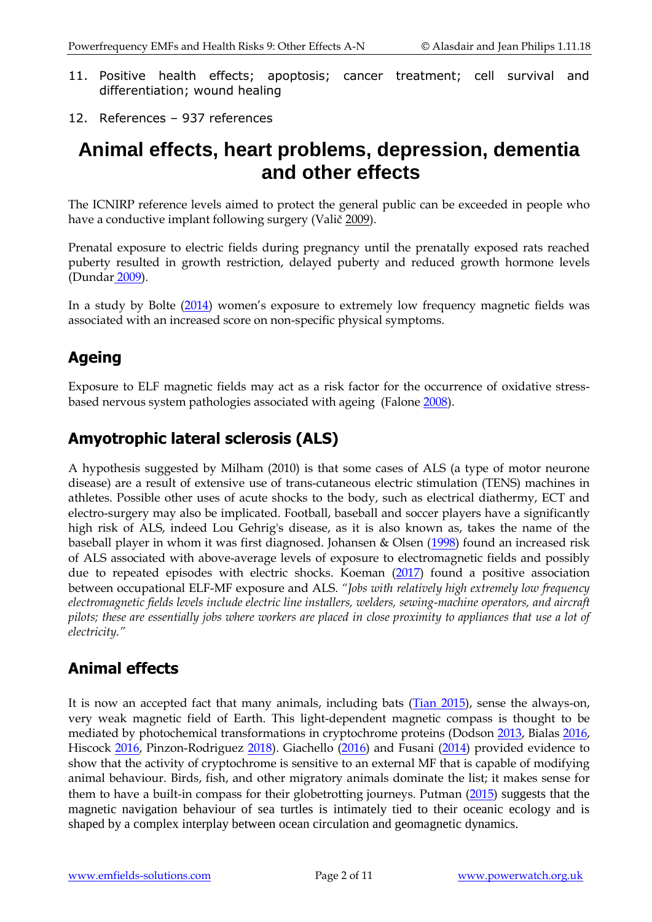- 11. Positive health effects; apoptosis; cancer treatment; cell survival and differentiation; wound healing
- 12. References 937 references

# **Animal effects, heart problems, depression, dementia and other effects**

The ICNIRP reference levels aimed to protect the general public can be exceeded in people who have a conductive implant following surgery (Valič [2009\)](http://www.ncbi.nlm.nih.gov/pubmed/19418511).

Prenatal exposure to electric fields during pregnancy until the prenatally exposed rats reached puberty resulted in growth restriction, delayed puberty and reduced growth hormone levels (Dundar [2009\)](http://www.ncbi.nlm.nih.gov/pubmed/19783573).

In a study by Bolte [\(2014](https://www.ncbi.nlm.nih.gov/pubmed/25463717)) women's exposure to extremely low frequency magnetic fields was associated with an increased score on non-specific physical symptoms.

# **Ageing**

Exposure to ELF magnetic fields may act as a risk factor for the occurrence of oxidative stressbased nervous system pathologies associated with ageing (Falon[e 2008\)](http://www.ncbi.nlm.nih.gov/pubmed/18585472).

## **Amyotrophic lateral sclerosis (ALS)**

A hypothesis suggested by Milham (2010) is that some cases of ALS (a type of motor neurone disease) are a result of extensive use of trans-cutaneous electric stimulation (TENS) machines in athletes. Possible other uses of acute shocks to the body, such as electrical diathermy, ECT and electro-surgery may also be implicated. Football, baseball and soccer players have a significantly high risk of ALS, indeed Lou Gehrig's disease, as it is also known as, takes the name of the baseball player in whom it was first diagnosed. Johansen & Olsen [\(1998\)](http://www.ncbi.nlm.nih.gov/pubmed/9717880) found an increased risk of ALS associated with above-average levels of exposure to electromagnetic fields and possibly due to repeated episodes with electric shocks. Koeman [\(2017\)](https://www.ncbi.nlm.nih.gov/pubmed/28356332) found a positive association between occupational ELF-MF exposure and ALS. *"Jobs with relatively high extremely low frequency electromagnetic fields levels include electric line installers, welders, sewing-machine operators, and aircraft*  pilots; these are essentially jobs where workers are placed in close proximity to appliances that use a lot of *electricity."*

# **Animal effects**

It is now an accepted fact that many animals, including bats [\(Tian 2015\)](https://www.ncbi.nlm.nih.gov/pubmed/25922944), sense the always-on, very weak magnetic field of Earth. This light-dependent magnetic compass is thought to be mediated by photochemical transformations in cryptochrome proteins (Dodson [2013,](https://www.ncbi.nlm.nih.gov/pubmed/23938034) Bialas [2016,](https://www.ncbi.nlm.nih.gov/pubmed/27958724) Hiscock [2016,](https://www.ncbi.nlm.nih.gov/pubmed/27044102) Pinzon-Rodriguez [2018\)](https://www.ncbi.nlm.nih.gov/pubmed/29593090). Giachello [\(2016\)](https://www.ncbi.nlm.nih.gov/pubmed/27798129) and Fusani [\(2014\)](https://www.ncbi.nlm.nih.gov/pubmed/24622895) provided evidence to show that the activity of cryptochrome is sensitive to an external MF that is capable of modifying animal behaviour. Birds, fish, and other migratory animals dominate the list; it makes sense for them to have a built-in compass for their globetrotting journeys. Putman [\(2015\)](https://www.ncbi.nlm.nih.gov/pubmed/25833134) suggests that the magnetic navigation behaviour of sea turtles is intimately tied to their oceanic ecology and is shaped by a complex interplay between ocean circulation and geomagnetic dynamics.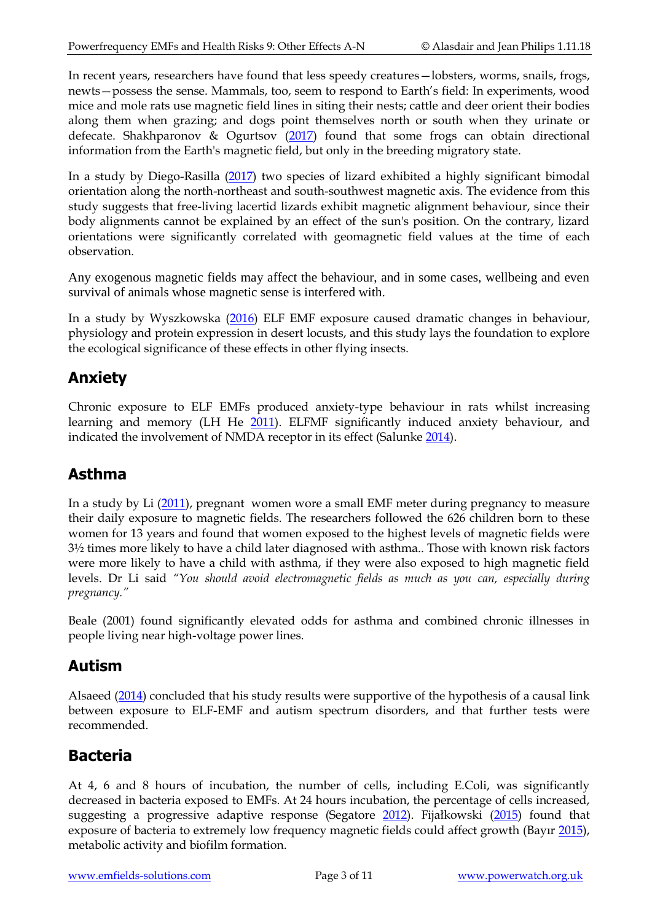In recent years, researchers have found that less speedy creatures—lobsters, worms, snails, frogs, newts—possess the sense. Mammals, too, seem to respond to Earth's field: In experiments, wood mice and mole rats use magnetic field lines in siting their nests; cattle and deer orient their bodies along them when grazing; and dogs point themselves north or south when they urinate or defecate. Shakhparonov & Ogurtsov  $(2017)$  found that some frogs can obtain directional information from the Earth's magnetic field, but only in the breeding migratory state.

In a study by Diego-Rasilla [\(2017\)](https://www.ncbi.nlm.nih.gov/pubmed/28251303) two species of lizard exhibited a highly significant bimodal orientation along the north-northeast and south-southwest magnetic axis. The evidence from this study suggests that free-living lacertid lizards exhibit magnetic alignment behaviour, since their body alignments cannot be explained by an effect of the sun's position. On the contrary, lizard orientations were significantly correlated with geomagnetic field values at the time of each observation.

Any exogenous magnetic fields may affect the behaviour, and in some cases, wellbeing and even survival of animals whose magnetic sense is interfered with.

In a study by Wyszkowska [\(2016\)](https://www.ncbi.nlm.nih.gov/pubmed/27808167) ELF EMF exposure caused dramatic changes in behaviour, physiology and protein expression in desert locusts, and this study lays the foundation to explore the ecological significance of these effects in other flying insects.

## **Anxiety**

Chronic exposure to ELF EMFs produced anxiety-type behaviour in rats whilst increasing learning and memory (LH He [2011\)](http://www.ncbi.nlm.nih.gov/pubmed/22088536). ELFMF significantly induced anxiety behaviour, and indicated the involvement of NMDA receptor in its effect (Salunk[e 2014\)](https://www.ncbi.nlm.nih.gov/pubmed/24131395).

### **Asthma**

In a study by Li [\(2011\)](http://www.ncbi.nlm.nih.gov/pubmed/21810627), pregnant women wore a small EMF meter during pregnancy to measure their daily exposure to magnetic fields. The researchers followed the 626 children born to these women for 13 years and found that women exposed to the highest levels of magnetic fields were 3½ times more likely to have a child later diagnosed with asthma.. Those with known risk factors were more likely to have a child with asthma, if they were also exposed to high magnetic field levels. Dr Li said *"You should avoid electromagnetic fields as much as you can, especially during pregnancy."*

Beale (2001) found significantly elevated odds for asthma and combined chronic illnesses in people living near high-voltage power lines.

### **Autism**

Alsaeed [\(2014\)](http://www.ncbi.nlm.nih.gov/pubmed/24970316) concluded that his study results were supportive of the hypothesis of a causal link between exposure to ELF-EMF and autism spectrum disorders, and that further tests were recommended.

# **Bacteria**

At 4, 6 and 8 hours of incubation, the number of cells, including E.Coli, was significantly decreased in bacteria exposed to EMFs. At 24 hours incubation, the percentage of cells increased, suggesting a progressive adaptive response (Segatore [2012\)](http://www.ncbi.nlm.nih.gov/pubmed/22577384). Fijałkowski ([2015\)](https://www.ncbi.nlm.nih.gov/pubmed/24460420) found that exposure of bacteria to extremely low frequency magnetic fields could affect growth (Bayır [2015\)](https://www.ncbi.nlm.nih.gov/pubmed/24279632), metabolic activity and biofilm formation.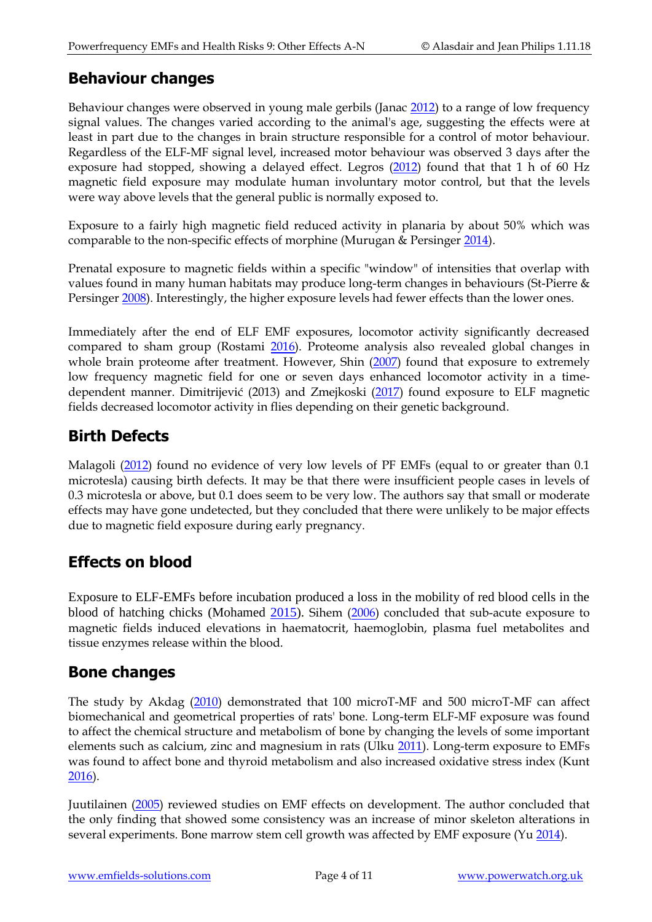### **Behaviour changes**

Behaviour changes were observed in young male gerbils (Janac [2012\)](http://www.ncbi.nlm.nih.gov/pubmed/22221164) to a range of low frequency signal values. The changes varied according to the animal's age, suggesting the effects were at least in part due to the changes in brain structure responsible for a control of motor behaviour. Regardless of the ELF-MF signal level, increased motor behaviour was observed 3 days after the exposure had stopped, showing a delayed effect. Legros [\(2012\)](https://www.ncbi.nlm.nih.gov/pubmed/21894451) found that that 1 h of 60 Hz magnetic field exposure may modulate human involuntary motor control, but that the levels were way above levels that the general public is normally exposed to.

Exposure to a fairly high magnetic field reduced activity in planaria by about 50% which was comparable to the non-specific effects of morphine (Murugan & Persinger [2014\)](https://www.ncbi.nlm.nih.gov/pubmed/24720710).

Prenatal exposure to magnetic fields within a specific "window" of intensities that overlap with values found in many human habitats may produce long-term changes in behaviours (St-Pierre & Persinger [2008\)](http://www.ncbi.nlm.nih.gov/pubmed/19037784). Interestingly, the higher exposure levels had fewer effects than the lower ones.

Immediately after the end of ELF EMF exposures, locomotor activity significantly decreased compared to sham group (Rostami [2016\)](https://www.ncbi.nlm.nih.gov/pubmed/27330708). Proteome analysis also revealed global changes in whole brain proteome after treatment. However, Shin [\(2007\)](https://www.ncbi.nlm.nih.gov/pubmed/18094524) found that exposure to extremely low frequency magnetic field for one or seven days enhanced locomotor activity in a timedependent manner. Dimitrijević (2013) and Zmejkoski [\(2017\)](https://www.ncbi.nlm.nih.gov/pubmed/27921519) found exposure to ELF magnetic fields decreased locomotor activity in flies depending on their genetic background.

### **Birth Defects**

Malagoli [\(2012\)](http://www.ncbi.nlm.nih.gov/pubmed/22826845) found no evidence of very low levels of PF EMFs (equal to or greater than 0.1 microtesla) causing birth defects. It may be that there were insufficient people cases in levels of 0.3 microtesla or above, but 0.1 does seem to be very low. The authors say that small or moderate effects may have gone undetected, but they concluded that there were unlikely to be major effects due to magnetic field exposure during early pregnancy.

### **Effects on blood**

Exposure to ELF-EMFs before incubation produced a loss in the mobility of red blood cells in the blood of hatching chicks (Mohamed [2015\)](http://www.ncbi.nlm.nih.gov/pubmed/26525029). Sihem [\(2006\)](https://www.ncbi.nlm.nih.gov/pubmed/27265659) concluded that sub-acute exposure to magnetic fields induced elevations in haematocrit, haemoglobin, plasma fuel metabolites and tissue enzymes release within the blood.

### **Bone changes**

The study by Akdag [\(2010\)](http://www.ncbi.nlm.nih.gov/pubmed/20230292) demonstrated that 100 microT-MF and 500 microT-MF can affect biomechanical and geometrical properties of rats' bone. Long-term ELF-MF exposure was found to affect the chemical structure and metabolism of bone by changing the levels of some important elements such as calcium, zinc and magnesium in rats (Ulku [2011\)](http://www.ncbi.nlm.nih.gov/pubmed/20872091). Long-term exposure to EMFs was found to affect bone and thyroid metabolism and also increased oxidative stress index (Kunt [2016\)](http://www.ncbi.nlm.nih.gov/pubmed/26929645).

Juutilainen [\(2005\)](http://www.ncbi.nlm.nih.gov/pubmed/16037961) reviewed studies on EMF effects on development. The author concluded that the only finding that showed some consistency was an increase of minor skeleton alterations in several experiments. Bone marrow stem cell growth was affected by EMF exposure (Yu [2014\)](http://www.ncbi.nlm.nih.gov/pubmed/24710940).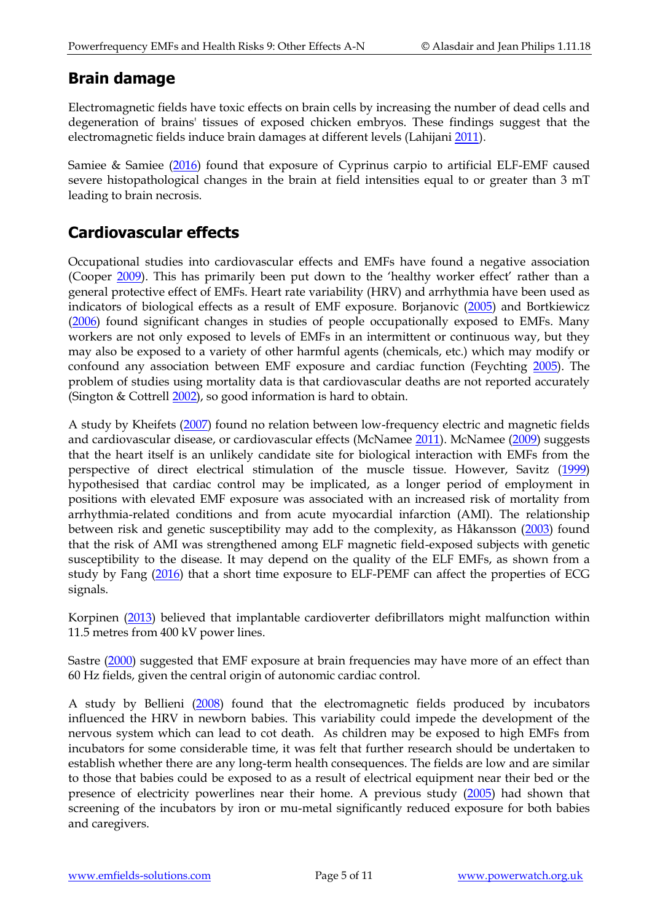#### **Brain damage**

Electromagnetic fields have toxic effects on brain cells by increasing the number of dead cells and degeneration of brains' tissues of exposed chicken embryos. These findings suggest that the electromagnetic fields induce brain damages at different levels (Lahijani [2011\)](https://www.ncbi.nlm.nih.gov/pubmed/21861693).

Samiee & Samiee [\(2016\)](https://www.ncbi.nlm.nih.gov/pubmed/?term=27362452) found that exposure of Cyprinus carpio to artificial ELF-EMF caused severe histopathological changes in the brain at field intensities equal to or greater than 3 mT leading to brain necrosis.

### **Cardiovascular effects**

Occupational studies into cardiovascular effects and EMFs have found a negative association (Cooper [2009\)](http://www.ncbi.nlm.nih.gov/pubmed/19064188). This has primarily been put down to the 'healthy worker effect' rather than a general protective effect of EMFs. Heart rate variability (HRV) and arrhythmia have been used as indicators of biological effects as a result of EMF exposure. Borjanovic [\(2005\)](http://www.ncbi.nlm.nih.gov/pubmed/16230832) and Bortkiewicz [\(2006\)](http://www.ncbi.nlm.nih.gov/pubmed/16881599) found significant changes in studies of people occupationally exposed to EMFs. Many workers are not only exposed to levels of EMFs in an intermittent or continuous way, but they may also be exposed to a variety of other harmful agents (chemicals, etc.) which may modify or confound any association between EMF exposure and cardiac function (Feychting [2005\)](http://www.ncbi.nlm.nih.gov/pubmed/15760285). The problem of studies using mortality data is that cardiovascular deaths are not reported accurately (Sington & Cottrell [2002\)](http://www.ncbi.nlm.nih.gov/pubmed/12101193), so good information is hard to obtain.

A study by Kheifets [\(2007\)](http://www.ncbi.nlm.nih.gov/pubmed/17353960) found no relation between low-frequency electric and magnetic fields and cardiovascular disease, or cardiovascular effects (McNamee [2011\)](http://www.ncbi.nlm.nih.gov/pubmed/20496180). McNamee [\(2009\)](http://www.ncbi.nlm.nih.gov/pubmed/19221783) suggests that the heart itself is an unlikely candidate site for biological interaction with EMFs from the perspective of direct electrical stimulation of the muscle tissue. However, Savitz [\(1999\)](http://www.ncbi.nlm.nih.gov/pubmed/9921958) hypothesised that cardiac control may be implicated, as a longer period of employment in positions with elevated EMF exposure was associated with an increased risk of mortality from arrhythmia-related conditions and from acute myocardial infarction (AMI). The relationship between risk and genetic susceptibility may add to the complexity, as Håkansson [\(2003\)](http://www.ncbi.nlm.nih.gov/pubmed/12965879) found that the risk of AMI was strengthened among ELF magnetic field-exposed subjects with genetic susceptibility to the disease. It may depend on the quality of the ELF EMFs, as shown from a study by Fang [\(2016\)](https://www.ncbi.nlm.nih.gov/pubmed/27886102) that a short time exposure to ELF-PEMF can affect the properties of ECG signals.

Korpinen [\(2013\)](http://www.ncbi.nlm.nih.gov/pubmed/24033389) believed that implantable cardioverter defibrillators might malfunction within 11.5 metres from 400 kV power lines.

Sastre [\(2000\)](http://www.ncbi.nlm.nih.gov/pubmed/11068227) suggested that EMF exposure at brain frequencies may have more of an effect than 60 Hz fields, given the central origin of autonomic cardiac control.

A study by Bellieni [\(2008\)](http://www.ncbi.nlm.nih.gov/pubmed/18450804?ordinalpos=1&itool=EntrezSystem2.PEntrez.Pubmed.Pubmed_ResultsPanel.Pubmed_RVDocSum) found that the electromagnetic fields produced by incubators influenced the HRV in newborn babies. This variability could impede the development of the nervous system which can lead to cot death. As children may be exposed to high EMFs from incubators for some considerable time, it was felt that further research should be undertaken to establish whether there are any long-term health consequences. The fields are low and are similar to those that babies could be exposed to as a result of electrical equipment near their bed or the presence of electricity powerlines near their home. A previous study [\(2005\)](http://www.ncbi.nlm.nih.gov/pubmed/15719965?ordinalpos=2&itool=EntrezSystem2.PEntrez.Pubmed.Pubmed_ResultsPanel.Pubmed_RVDocSum) had shown that screening of the incubators by iron or mu-metal significantly reduced exposure for both babies and caregivers.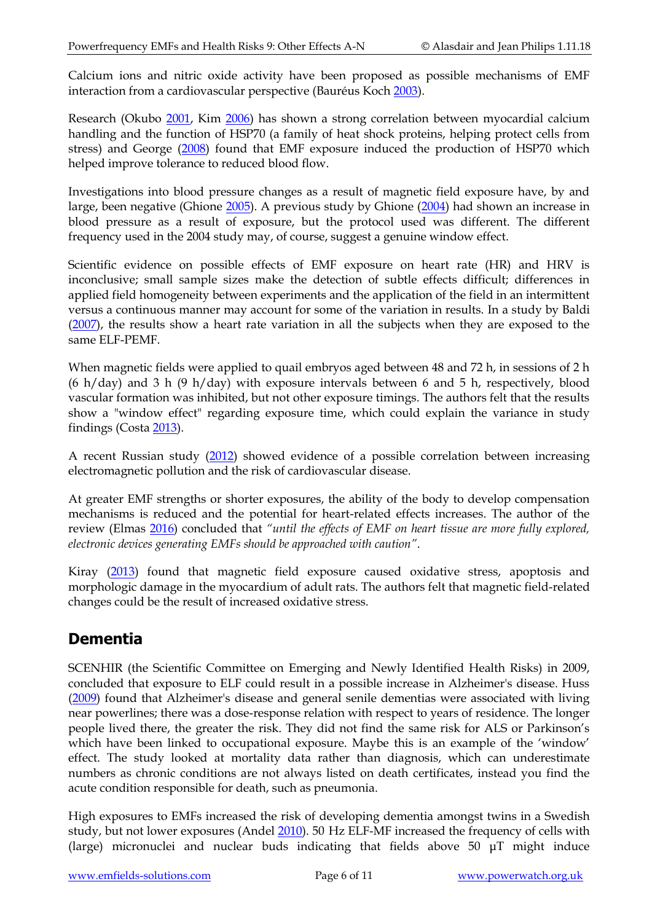Calcium ions and nitric oxide activity have been proposed as possible mechanisms of EMF interaction from a cardiovascular perspective (Bauréus Koch [2003\)](http://www.ncbi.nlm.nih.gov/pubmed/12929158).

Research (Okubo [2001,](http://www.ncbi.nlm.nih.gov/pubmed/11171798) Kim [2006\)](http://www.ncbi.nlm.nih.gov/pubmed/16735677) has shown a strong correlation between myocardial calcium handling and the function of HSP70 (a family of heat shock proteins, helping protect cells from stress) and George [\(2008\)](http://www.ncbi.nlm.nih.gov/pubmed/18446816?ordinalpos=4&itool=EntrezSystem2.PEntrez.Pubmed.Pubmed_ResultsPanel.Pubmed_RVDocSum) found that EMF exposure induced the production of HSP70 which helped improve tolerance to reduced blood flow.

Investigations into blood pressure changes as a result of magnetic field exposure have, by and large, been negative (Ghione [2005\)](http://www.ncbi.nlm.nih.gov/pubmed/15911132). A previous study by Ghione [\(2004\)](http://www.ncbi.nlm.nih.gov/pubmed/15042625) had shown an increase in blood pressure as a result of exposure, but the protocol used was different. The different frequency used in the 2004 study may, of course, suggest a genuine window effect.

Scientific evidence on possible effects of EMF exposure on heart rate (HR) and HRV is inconclusive; small sample sizes make the detection of subtle effects difficult; differences in applied field homogeneity between experiments and the application of the field in an intermittent versus a continuous manner may account for some of the variation in results. In a study by Baldi [\(2007\)](http://www.ncbi.nlm.nih.gov/pubmed/16988996), the results show a heart rate variation in all the subjects when they are exposed to the same ELF-PEMF.

When magnetic fields were applied to quail embryos aged between 48 and 72 h, in sessions of 2 h (6 h/day) and 3 h (9 h/day) with exposure intervals between 6 and 5 h, respectively, blood vascular formation was inhibited, but not other exposure timings. The authors felt that the results show a "window effect" regarding exposure time, which could explain the variance in study findings (Costa [2013\)](http://www.ncbi.nlm.nih.gov/pubmed/23060284).

A recent Russian study [\(2012\)](http://www.ncbi.nlm.nih.gov/pubmed?term=23272585) showed evidence of a possible correlation between increasing electromagnetic pollution and the risk of cardiovascular disease.

At greater EMF strengths or shorter exposures, the ability of the body to develop compensation mechanisms is reduced and the potential for heart-related effects increases. The author of the review (Elmas [2016\)](http://www.ncbi.nlm.nih.gov/pubmed/24021427) concluded that *"until the effects of EMF on heart tissue are more fully explored, electronic devices generating EMFs should be approached with caution"*.

Kiray [\(2013\)](http://www.ncbi.nlm.nih.gov/pubmed/22323476) found that magnetic field exposure caused oxidative stress, apoptosis and morphologic damage in the myocardium of adult rats. The authors felt that magnetic field-related changes could be the result of increased oxidative stress.

# **Dementia**

SCENHIR (the Scientific Committee on Emerging and Newly Identified Health Risks) in 2009, concluded that exposure to ELF could result in a possible increase in Alzheimer's disease. Huss [\(2009\)](http://www.ncbi.nlm.nih.gov/pubmed/18990717?ordinalpos=2&itool=EntrezSystem2.PEntrez.Pubmed.Pubmed_ResultsPanel.Pubmed_DefaultReportPanel.Pubmed_RVDocSum) found that Alzheimer's disease and general senile dementias were associated with living near powerlines; there was a dose-response relation with respect to years of residence. The longer people lived there, the greater the risk. They did not find the same risk for ALS or Parkinson's which have been linked to occupational exposure. Maybe this is an example of the 'window' effect. The study looked at mortality data rather than diagnosis, which can underestimate numbers as chronic conditions are not always listed on death certificates, instead you find the acute condition responsible for death, such as pneumonia.

High exposures to EMFs increased the risk of developing dementia amongst twins in a Swedish study, but not lower exposures (Andel [2010\)](http://www.ncbi.nlm.nih.gov/pubmed/20622138). 50 Hz ELF-MF increased the frequency of cells with (large) micronuclei and nuclear buds indicating that fields above 50 μT might induce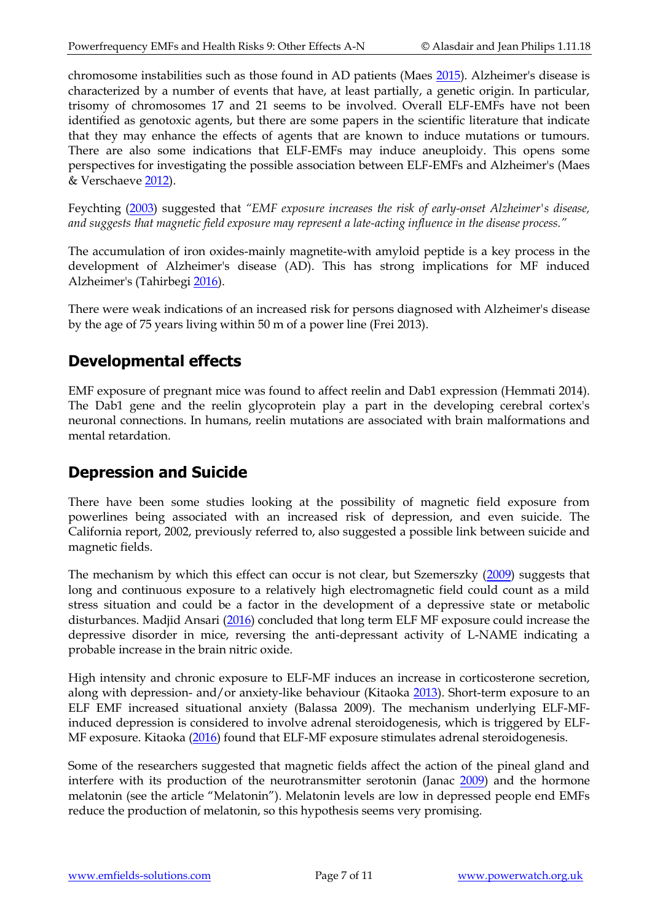chromosome instabilities such as those found in AD patients (Maes [2015\)](https://www.ncbi.nlm.nih.gov/pubmed/26757040). Alzheimer's disease is characterized by a number of events that have, at least partially, a genetic origin. In particular, trisomy of chromosomes 17 and 21 seems to be involved. Overall ELF-EMFs have not been identified as genotoxic agents, but there are some papers in the scientific literature that indicate that they may enhance the effects of agents that are known to induce mutations or tumours. There are also some indications that ELF-EMFs may induce aneuploidy. This opens some perspectives for investigating the possible association between ELF-EMFs and Alzheimer's (Maes & Verschaeve [2012\)](https://www.ncbi.nlm.nih.gov/pubmed/21935970).

Feychting [\(2003\)](http://www.ncbi.nlm.nih.gov/pubmed/12843764) suggested that *"EMF exposure increases the risk of early-onset Alzheimer's disease, and suggests that magnetic field exposure may represent a late-acting influence in the disease process."*

The accumulation of iron oxides-mainly magnetite-with amyloid peptide is a key process in the development of Alzheimer's disease (AD). This has strong implications for MF induced Alzheimer's (Tahirbegi [2016\)](https://www.ncbi.nlm.nih.gov/pubmed/27734811).

There were weak indications of an increased risk for persons diagnosed with Alzheimer's disease by the age of 75 years living within 50 m of a power line (Frei [2013\)](http://www.ncbi.nlm.nih.gov/pubmed/23572049).

#### **Developmental effects**

EMF exposure of pregnant mice was found to affect reelin and Dab1 expression (Hemmati [2014\)](http://www.ncbi.nlm.nih.gov/pubmed/24584565). The Dab1 gene and the reelin glycoprotein play a part in the developing cerebral cortex's neuronal connections. In humans, reelin mutations are associated with brain malformations and mental retardation.

#### **Depression and Suicide**

There have been some studies looking at the possibility of magnetic field exposure from powerlines being associated with an increased risk of depression, and even suicide. The California report, 2002, previously referred to, also suggested a possible link between suicide and magnetic fields.

The mechanism by which this effect can occur is not clear, but Szemerszky [\(2009\)](http://www.ncbi.nlm.nih.gov/pubmed?term=19883742) suggests that long and continuous exposure to a relatively high electromagnetic field could count as a mild stress situation and could be a factor in the development of a depressive state or metabolic disturbances. Madjid Ansari [\(2016\)](http://www.ncbi.nlm.nih.gov/pubmed/26764231) concluded that long term ELF MF exposure could increase the depressive disorder in mice, reversing the anti-depressant activity of L-NAME indicating a probable increase in the brain nitric oxide.

High intensity and chronic exposure to ELF-MF induces an increase in corticosterone secretion, along with depression- and/or anxiety-like behaviour (Kitaoka [2013\)](http://www.ncbi.nlm.nih.gov/pubmed/22753092). Short-term exposure to an ELF EMF increased situational anxiety (Balassa 2009). The mechanism underlying ELF-MFinduced depression is considered to involve adrenal steroidogenesis, which is triggered by ELF-MF exposure. Kitaoka [\(2016\)](https://www.ncbi.nlm.nih.gov/pubmed/27100201) found that ELF-MF exposure stimulates adrenal steroidogenesis.

Some of the researchers suggested that magnetic fields affect the action of the pineal gland and interfere with its production of the neurotransmitter serotonin (Janac [2009\)](https://www.ncbi.nlm.nih.gov/pubmed/19893078) and the hormone melatonin (see the article "Melatonin"). Melatonin levels are low in depressed people end EMFs reduce the production of melatonin, so this hypothesis seems very promising.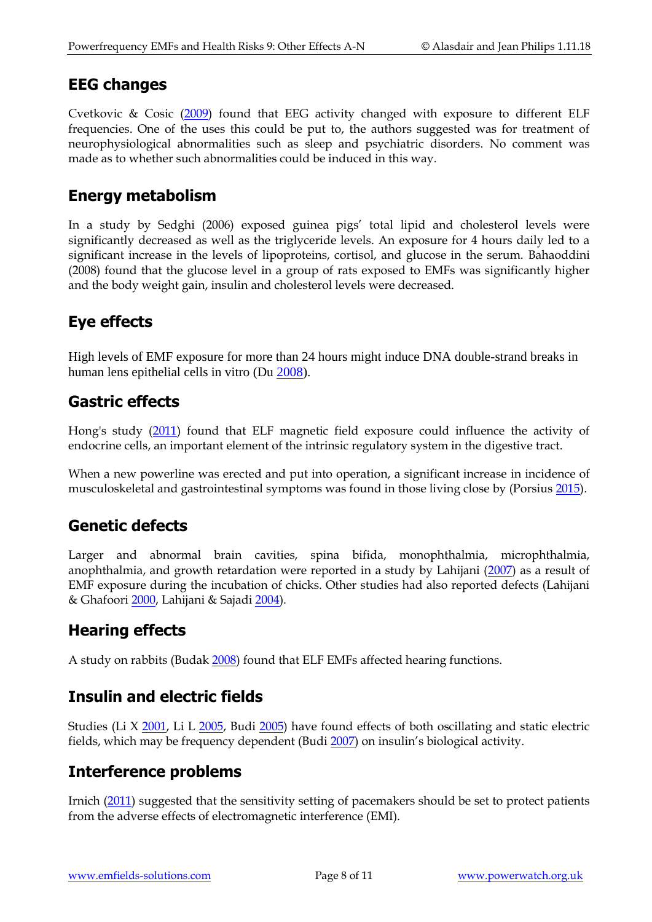#### **EEG changes**

Cvetkovic & Cosic [\(2009\)](http://www.ncbi.nlm.nih.gov/pubmed/19707808) found that EEG activity changed with exposure to different ELF frequencies. One of the uses this could be put to, the authors suggested was for treatment of neurophysiological abnormalities such as sleep and psychiatric disorders. No comment was made as to whether such abnormalities could be induced in this way.

#### **Energy metabolism**

In a study by Sedghi (2006) exposed guinea pigs' total lipid and cholesterol levels were significantly decreased as well as the triglyceride levels. An exposure for 4 hours daily led to a significant increase in the levels of lipoproteins, cortisol, and glucose in the serum. Bahaoddini (2008) found that the glucose level in a group of rats exposed to EMFs was significantly higher and the body weight gain, insulin and cholesterol levels were decreased.

# **Eye effects**

High levels of EMF exposure for more than 24 hours might induce DNA double-strand breaks in human lens epithelial cells in vitro (Du [2008\)](http://www.ncbi.nlm.nih.gov/pubmed/18275113).

### **Gastric effects**

Hong's study [\(2011\)](http://www.ncbi.nlm.nih.gov/pubmed/21860591) found that ELF magnetic field exposure could influence the activity of endocrine cells, an important element of the intrinsic regulatory system in the digestive tract.

When a new powerline was erected and put into operation, a significant increase in incidence of musculoskeletal and gastrointestinal symptoms was found in those living close by (Porsius [2015\)](http://www.ncbi.nlm.nih.gov/pubmed/26526312).

#### **Genetic defects**

Larger and abnormal brain cavities, spina bifida, monophthalmia, microphthalmia, anophthalmia, and growth retardation were reported in a study by Lahijani [\(2007\)](http://www.ncbi.nlm.nih.gov/pubmed/17613036) as a result of EMF exposure during the incubation of chicks. Other studies had also reported defects (Lahijani & Ghafoori [2000,](http://www.ncbi.nlm.nih.gov/pubmed/11215313) Lahijani & Sajadi [2004\)](http://www.ncbi.nlm.nih.gov/pubmed/15462177).

### **Hearing effects**

A study on rabbits (Budak [2008\)](http://www.ncbi.nlm.nih.gov/pubmed/18606507?ordinalpos=1&itool=EntrezSystem2.PEntrez.Pubmed.Pubmed_ResultsPanel.Pubmed_RVDocSum) found that ELF EMFs affected hearing functions.

#### **Insulin and electric fields**

Studies (Li X [2001,](http://www.ncbi.nlm.nih.gov/sites/entrez?Db=pubmed&Cmd=ShowDetailView&TermToSearch=12947682&ordinalpos=2&itool=EntrezSystem2.PEntrez.Pubmed.Pubmed_ResultsPanel.Pubmed_RVDocSum) Li L [2005,](http://www.ncbi.nlm.nih.gov/sites/entrez?Db=pubmed&Cmd=ShowDetailView&TermToSearch=16189829&ordinalpos=2&itool=EntrezSystem2.PEntrez.Pubmed.Pubmed_ResultsPanel.Pubmed_RVDocSum) Budi [2005\)](http://www.ncbi.nlm.nih.gov/sites/entrez?Db=pubmed&Cmd=ShowDetailView&TermToSearch=16853947&ordinalpos=2&itool=EntrezSystem2.PEntrez.Pubmed.Pubmed_ResultsPanel.Pubmed_RVDocSum) have found effects of both oscillating and static electric fields, which may be frequency dependent (Bud[i 2007](http://www.ncbi.nlm.nih.gov/sites/entrez?Db=pubmed&Cmd=ShowDetailView&TermToSearch=17472363&ordinalpos=1&itool=EntrezSystem2.PEntrez.Pubmed.Pubmed_ResultsPanel.Pubmed_RVDocSum)) on insulin's biological activity.

#### **Interference problems**

Irnich [\(2011\)](http://www.ncbi.nlm.nih.gov/pubmed/21551474) suggested that the sensitivity setting of pacemakers should be set to protect patients from the adverse effects of electromagnetic interference (EMI).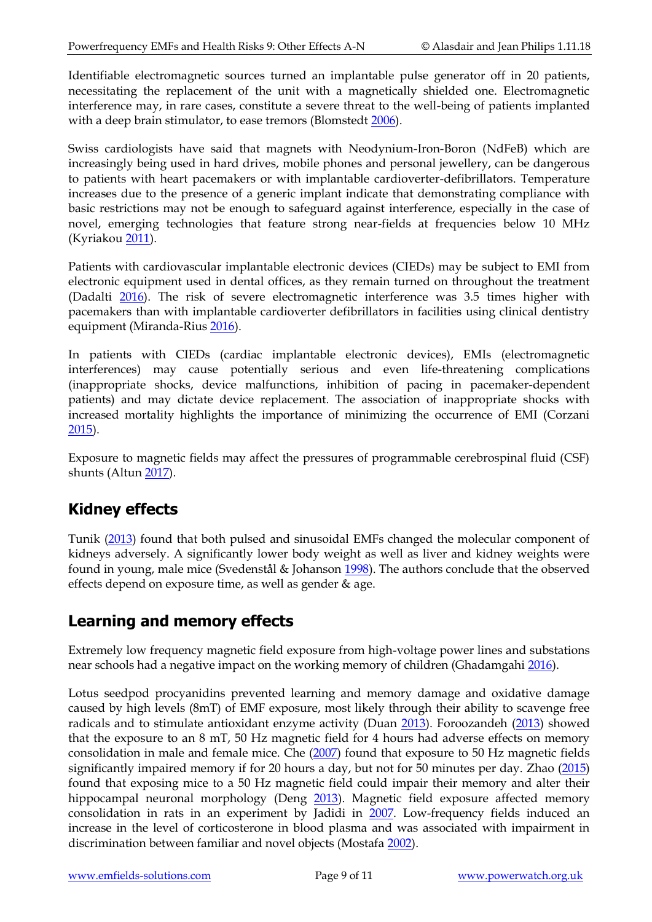Identifiable electromagnetic sources turned an implantable pulse generator off in 20 patients, necessitating the replacement of the unit with a magnetically shielded one. Electromagnetic interference may, in rare cases, constitute a severe threat to the well-being of patients implanted with a deep brain stimulator, to ease tremors (Blomstedt [2006\)](http://www.ncbi.nlm.nih.gov/pubmed/22151760).

Swiss cardiologists have said that magnets with Neodynium-Iron-Boron (NdFeB) which are increasingly being used in hard drives, mobile phones and personal jewellery, can be dangerous to patients with heart pacemakers or with implantable cardioverter-defibrillators. Temperature increases due to the presence of a generic implant indicate that demonstrating compliance with basic restrictions may not be enough to safeguard against interference, especially in the case of novel, emerging technologies that feature strong near-fields at frequencies below 10 MHz (Kyriako[u 2011\)](http://www.ncbi.nlm.nih.gov/pubmed/22105520).

Patients with cardiovascular implantable electronic devices (CIEDs) may be subject to EMI from electronic equipment used in dental offices, as they remain turned on throughout the treatment (Dadalti [2016\)](http://www.ncbi.nlm.nih.gov/pubmed/26765669). The risk of severe electromagnetic interference was 3.5 times higher with pacemakers than with implantable cardioverter defibrillators in facilities using clinical dentistry equipment (Miranda-Rius [2016\)](https://www.ncbi.nlm.nih.gov/pubmed/27748971).

In patients with CIEDs (cardiac implantable electronic devices), EMIs (electromagnetic interferences) may cause potentially serious and even life-threatening complications (inappropriate shocks, device malfunctions, inhibition of pacing in pacemaker-dependent patients) and may dictate device replacement. The association of inappropriate shocks with increased mortality highlights the importance of minimizing the occurrence of EMI (Corzani [2015\)](https://www.ncbi.nlm.nih.gov/pubmed/26313816).

Exposure to magnetic fields may affect the pressures of programmable cerebrospinal fluid (CSF) shunts (Altun [2017\)](https://www.ncbi.nlm.nih.gov/pubmed/27476923).

# **Kidney effects**

Tunik [\(2013\)](http://www.ncbi.nlm.nih.gov/pubmed/24282905) found that both pulsed and sinusoidal EMFs changed the molecular component of kidneys adversely. A significantly lower body weight as well as liver and kidney weights were found in young, male mice (Svedenstål & Johanson [1998\)](https://www.ncbi.nlm.nih.gov/pubmed/9706473). The authors conclude that the observed effects depend on exposure time, as well as gender & age.

# **Learning and memory effects**

Extremely low frequency magnetic field exposure from high-voltage power lines and substations near schools had a negative impact on the working memory of children (Ghadamgahi [2016\)](https://www.ncbi.nlm.nih.gov/pubmed/27194231).

Lotus seedpod procyanidins prevented learning and memory damage and oxidative damage caused by high levels (8mT) of EMF exposure, most likely through their ability to scavenge free radicals and to stimulate antioxidant enzyme activity (Duan [2013\)](http://www.ncbi.nlm.nih.gov/pubmed/23764910). Foroozandeh [\(2013\)](https://www.ncbi.nlm.nih.gov/pubmed/22397835) showed that the exposure to an 8 mT, 50 Hz magnetic field for 4 hours had adverse effects on memory consolidation in male and female mice. Che [\(2007\)](https://www.ncbi.nlm.nih.gov/pubmed/17683805) found that exposure to 50 Hz magnetic fields significantly impaired memory if for 20 hours a day, but not for 50 minutes per day. Zhao [\(2015\)](http://www.ncbi.nlm.nih.gov/pubmed/26138388) found that exposing mice to a 50 Hz magnetic field could impair their memory and alter their hippocampal neuronal morphology (Deng [2013\)](https://www.ncbi.nlm.nih.gov/pubmed/24158621). Magnetic field exposure affected memory consolidation in rats in an experiment by Jadidi in [2007.](http://www.ncbi.nlm.nih.gov/pubmed/17768075) Low-frequency fields induced an increase in the level of corticosterone in blood plasma and was associated with impairment in discrimination between familiar and novel objects (Mostafa [2002\)](https://www.ncbi.nlm.nih.gov/pubmed/12126997).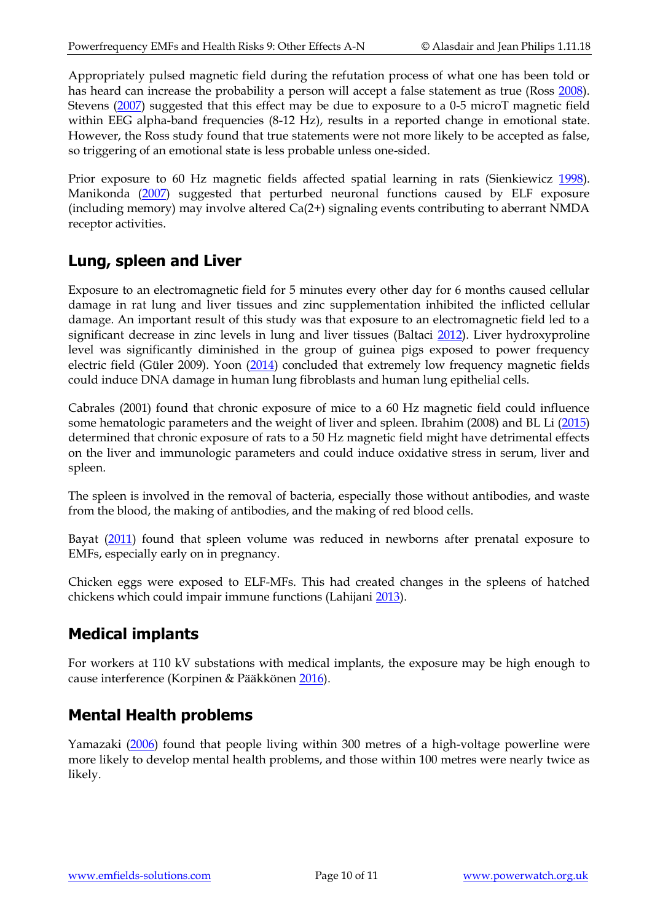Appropriately pulsed magnetic field during the refutation process of what one has been told or has heard can increase the probability a person will accept a false statement as true (Ross [2008\)](https://www.ncbi.nlm.nih.gov/pubmed/19037785). Stevens [\(2007\)](https://www.ncbi.nlm.nih.gov/pubmed/17004245) suggested that this effect may be due to exposure to a 0-5 microT magnetic field within EEG alpha-band frequencies (8-12 Hz), results in a reported change in emotional state. However, the Ross study found that true statements were not more likely to be accepted as false, so triggering of an emotional state is less probable unless one-sided.

Prior exposure to 60 Hz magnetic fields affected spatial learning in rats (Sienkiewicz [1998\)](http://www.ncbi.nlm.nih.gov/pubmed/9492163). Manikonda [\(2007\)](https://www.ncbi.nlm.nih.gov/pubmed/17196332) suggested that perturbed neuronal functions caused by ELF exposure (including memory) may involve altered Ca(2+) signaling events contributing to aberrant NMDA receptor activities.

#### **Lung, spleen and Liver**

Exposure to an electromagnetic field for 5 minutes every other day for 6 months caused cellular damage in rat lung and liver tissues and zinc supplementation inhibited the inflicted cellular damage. An important result of this study was that exposure to an electromagnetic field led to a significant decrease in zinc levels in lung and liver tissues (Baltaci [2012\)](http://www.ncbi.nlm.nih.gov/pubmed/22794512). Liver hydroxyproline level was significantly diminished in the group of guinea pigs exposed to power frequency electric field (Güler 2009). Yoon [\(2014\)](https://www.ncbi.nlm.nih.gov/pubmed/24467330) concluded that extremely low frequency magnetic fields could induce DNA damage in human lung fibroblasts and human lung epithelial cells.

Cabrales (2001) found that chronic exposure of mice to a 60 Hz magnetic field could influence some hematologic parameters and the weight of liver and spleen. Ibrahim (2008) and BL Li [\(2015\)](https://www.ncbi.nlm.nih.gov/pubmed/25910613) determined that chronic exposure of rats to a 50 Hz magnetic field might have detrimental effects on the liver and immunologic parameters and could induce oxidative stress in serum, liver and spleen.

The spleen is involved in the removal of bacteria, especially those without antibodies, and waste from the blood, the making of antibodies, and the making of red blood cells.

Bayat [\(2011\)](http://www.ncbi.nlm.nih.gov/pubmed/21870432) found that spleen volume was reduced in newborns after prenatal exposure to EMFs, especially early on in pregnancy.

Chicken eggs were exposed to ELF-MFs. This had created changes in the spleens of hatched chickens which could impair immune functions (Lahijani [2013\)](http://www.ncbi.nlm.nih.gov/pubmed/23046252).

# **Medical implants**

For workers at 110 kV substations with medical implants, the exposure may be high enough to cause interference (Korpinen & Pääkkönen [2016\)](https://www.ncbi.nlm.nih.gov/pubmed/27075421).

# **Mental Health problems**

Yamazaki [\(2006\)](http://www.ncbi.nlm.nih.gov/pubmed/16607646) found that people living within 300 metres of a high-voltage powerline were more likely to develop mental health problems, and those within 100 metres were nearly twice as likely.